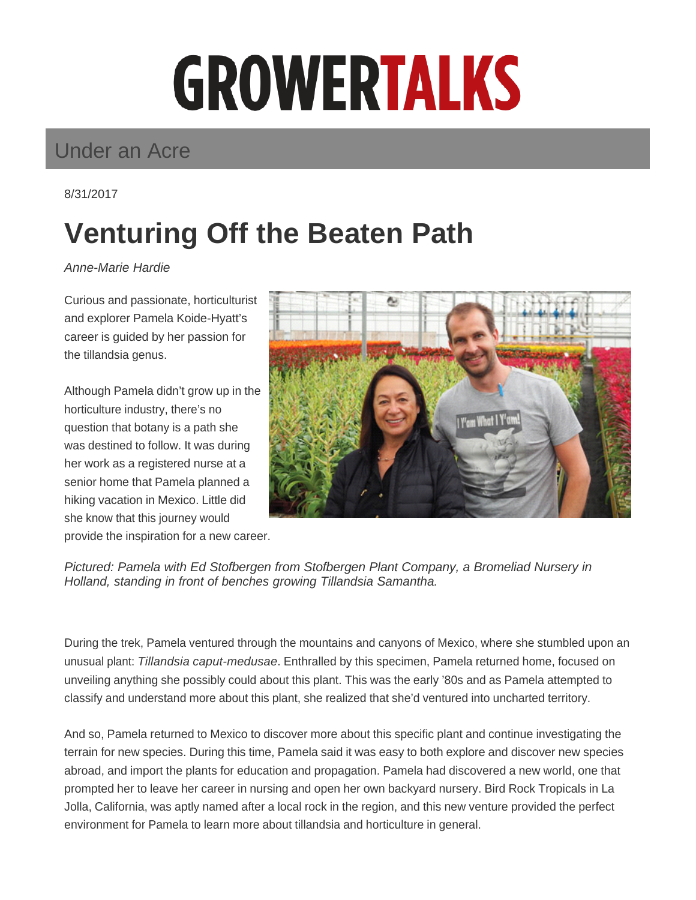## **GROWERTALKS**

## Under an Acre

8/31/2017

## **Venturing Off the Beaten Path**

Anne-Marie Hardie

Curious and passionate, horticulturist and explorer Pamela Koide-Hyatt's career is guided by her passion for the tillandsia genus.

Although Pamela didn't grow up in the horticulture industry, there's no question that botany is a path she was destined to follow. It was during her work as a registered nurse at a senior home that Pamela planned a hiking vacation in Mexico. Little did she know that this journey would provide the inspiration for a new career.



Pictured: Pamela with Ed Stofbergen from Stofbergen Plant Company, a Bromeliad Nursery in Holland, standing in front of benches growing Tillandsia Samantha.

During the trek, Pamela ventured through the mountains and canyons of Mexico, where she stumbled upon an unusual plant: Tillandsia caput-medusae. Enthralled by this specimen, Pamela returned home, focused on unveiling anything she possibly could about this plant. This was the early '80s and as Pamela attempted to classify and understand more about this plant, she realized that she'd ventured into uncharted territory.

And so, Pamela returned to Mexico to discover more about this specific plant and continue investigating the terrain for new species. During this time, Pamela said it was easy to both explore and discover new species abroad, and import the plants for education and propagation. Pamela had discovered a new world, one that prompted her to leave her career in nursing and open her own backyard nursery. Bird Rock Tropicals in La Jolla, California, was aptly named after a local rock in the region, and this new venture provided the perfect environment for Pamela to learn more about tillandsia and horticulture in general.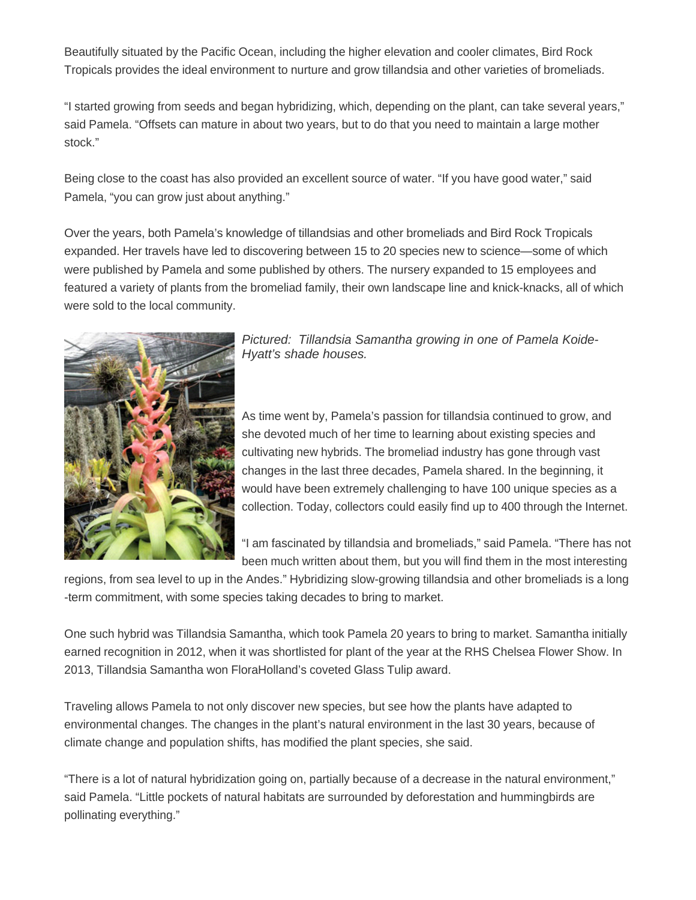Beautifully situated by the Pacific Ocean, including the higher elevation and cooler climates, Bird Rock Tropicals provides the ideal environment to nurture and grow tillandsia and other varieties of bromeliads.

"I started growing from seeds and began hybridizing, which, depending on the plant, can take several years," said Pamela. "Offsets can mature in about two years, but to do that you need to maintain a large mother stock."

Being close to the coast has also provided an excellent source of water. "If you have good water," said Pamela, "you can grow just about anything."

Over the years, both Pamela's knowledge of tillandsias and other bromeliads and Bird Rock Tropicals expanded. Her travels have led to discovering between 15 to 20 species new to science—some of which were published by Pamela and some published by others. The nursery expanded to 15 employees and featured a variety of plants from the bromeliad family, their own landscape line and knick-knacks, all of which were sold to the local community.



Pictured: Tillandsia Samantha growing in one of Pamela Koide-Hyatt's shade houses.

As time went by, Pamela's passion for tillandsia continued to grow, and she devoted much of her time to learning about existing species and cultivating new hybrids. The bromeliad industry has gone through vast changes in the last three decades, Pamela shared. In the beginning, it would have been extremely challenging to have 100 unique species as a collection. Today, collectors could easily find up to 400 through the Internet.

"I am fascinated by tillandsia and bromeliads," said Pamela. "There has not been much written about them, but you will find them in the most interesting

regions, from sea level to up in the Andes." Hybridizing slow-growing tillandsia and other bromeliads is a long -term commitment, with some species taking decades to bring to market.

One such hybrid was Tillandsia Samantha, which took Pamela 20 years to bring to market. Samantha initially earned recognition in 2012, when it was shortlisted for plant of the year at the RHS Chelsea Flower Show. In 2013, Tillandsia Samantha won FloraHolland's coveted Glass Tulip award.

Traveling allows Pamela to not only discover new species, but see how the plants have adapted to environmental changes. The changes in the plant's natural environment in the last 30 years, because of climate change and population shifts, has modified the plant species, she said.

"There is a lot of natural hybridization going on, partially because of a decrease in the natural environment," said Pamela. "Little pockets of natural habitats are surrounded by deforestation and hummingbirds are pollinating everything."